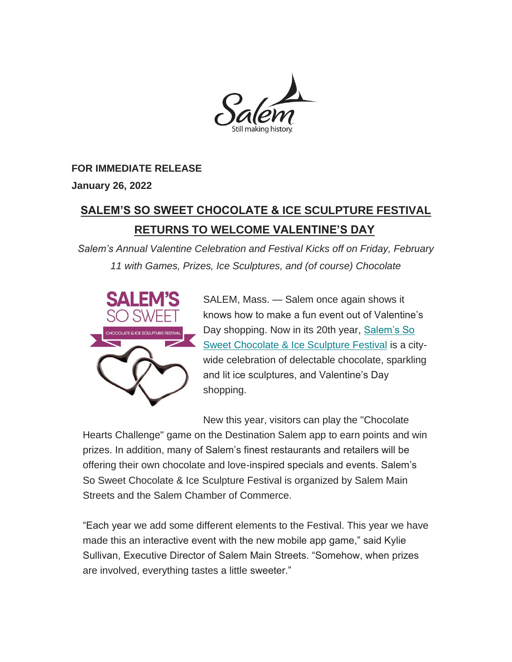

#### **FOR IMMEDIATE RELEASE**

**January 26, 2022**

# **SALEM'S SO SWEET CHOCOLATE & ICE SCULPTURE FESTIVAL RETURNS TO WELCOME VALENTINE'S DAY**

*Salem's Annual Valentine Celebration and Festival Kicks off on Friday, February 11 with Games, Prizes, Ice Sculptures, and (of course) Chocolate*



SALEM, Mass. — Salem once again shows it knows how to make a fun event out of Valentine's Day shopping. Now in its 20th year, [Salem's So](http://salemmainstreets.org/festivals/salem-so-sweet/)  [Sweet Chocolate & Ice Sculpture Festival](http://salemmainstreets.org/festivals/salem-so-sweet/) is a citywide celebration of delectable chocolate, sparkling and lit ice sculptures, and Valentine's Day shopping.

New this year, visitors can play the "Chocolate Hearts Challenge" game on the Destination Salem app to earn points and win prizes. In addition, many of Salem's finest restaurants and retailers will be offering their own chocolate and love-inspired specials and events. Salem's So Sweet Chocolate & Ice Sculpture Festival is organized by Salem Main Streets and the Salem Chamber of Commerce.

"Each year we add some different elements to the Festival. This year we have made this an interactive event with the new mobile app game," said Kylie Sullivan, Executive Director of Salem Main Streets. "Somehow, when prizes are involved, everything tastes a little sweeter."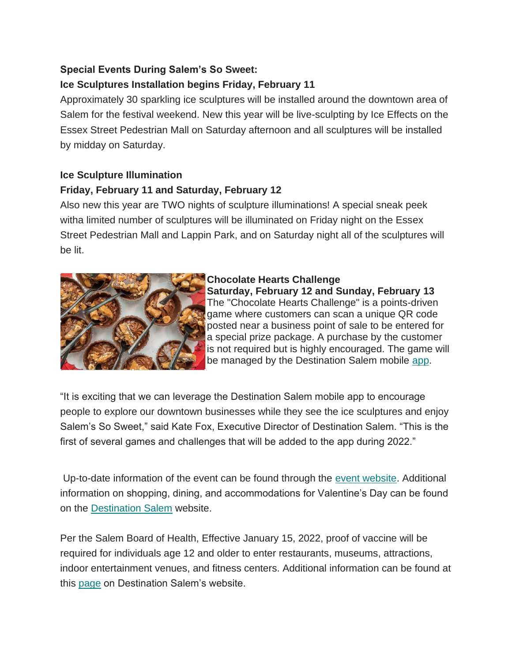# **Special Events During Salem's So Sweet:**

# **Ice Sculptures Installation begins Friday, February 11**

Approximately 30 sparkling ice sculptures will be installed around the downtown area of Salem for the festival weekend. New this year will be live-sculpting by Ice Effects on the Essex Street Pedestrian Mall on Saturday afternoon and all sculptures will be installed by midday on Saturday.

## **Ice Sculpture Illumination**

### **Friday, February 11 and Saturday, February 12**

Also new this year are TWO nights of sculpture illuminations! A special sneak peek witha limited number of sculptures will be illuminated on Friday night on the Essex Street Pedestrian Mall and Lappin Park, and on Saturday night all of the sculptures will be lit.



#### **Chocolate Hearts Challenge**

**Saturday, February 12 and Sunday, February 13** The "Chocolate Hearts Challenge" is a points-driven game where customers can scan a unique QR code posted near a business point of sale to be entered for a special prize package. A purchase by the customer is not required but is highly encouraged. The game will be managed by the Destination Salem mobile [app.](https://www.salem.org/app/)

"It is exciting that we can leverage the Destination Salem mobile app to encourage people to explore our downtown businesses while they see the ice sculptures and enjoy Salem's So Sweet," said Kate Fox, Executive Director of Destination Salem. "This is the first of several games and challenges that will be added to the app during 2022."

Up-to-date information of the event can be found through the [event website.](http://salemmainstreets.org/festivals/salem-so-sweet/) Additional information on shopping, dining, and accommodations for Valentine's Day can be found on the [Destination Salem](https://www.salem.org/) website.

Per the Salem Board of Health, Effective January 15, 2022, proof of vaccine will be required for individuals age 12 and older to enter restaurants, museums, attractions, indoor entertainment venues, and fitness centers. Additional information can be found at this [page](https://www.salem.org/blog/covid19/) on Destination Salem's website.